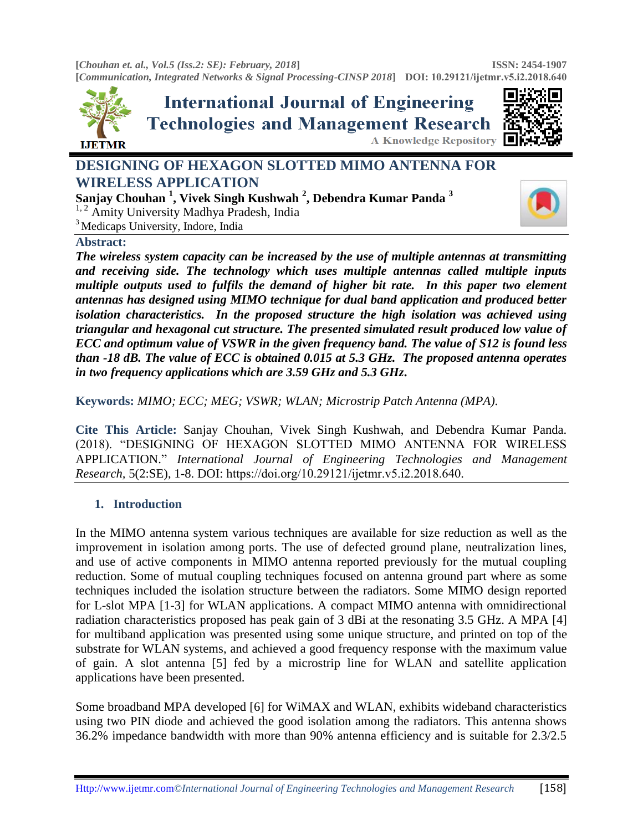**[***Chouhan et. al., Vol.5 (Iss.2: SE): February, 2018***] [***Communication, Integrated Networks & Signal Processing-CINSP 2018***] DOI: [10.29121/ijetmr](http://www.ijetmr.com/).v5.i2.2018.640 ISSN: 2454-1907** 



**International Journal of Engineering Technologies and Management Research** A Knowledge Repository



# **DESIGNING OF HEXAGON SLOTTED MIMO ANTENNA FOR WIRELESS APPLICATION**

**Sanjay Chouhan <sup>1</sup> , Vivek Singh Kushwah <sup>2</sup> , Debendra Kumar Panda <sup>3</sup>**  $1, 2$  Amity University Madhya Pradesh, India <sup>3</sup> Medicaps University, Indore, India

#### **Abstract:**

*The wireless system capacity can be increased by the use of multiple antennas at transmitting and receiving side. The technology which uses multiple antennas called multiple inputs multiple outputs used to fulfils the demand of higher bit rate. In this paper two element antennas has designed using MIMO technique for dual band application and produced better isolation characteristics. In the proposed structure the high isolation was achieved using triangular and hexagonal cut structure. The presented simulated result produced low value of ECC and optimum value of VSWR in the given frequency band. The value of S12 is found less than -18 dB. The value of ECC is obtained 0.015 at 5.3 GHz. The proposed antenna operates in two frequency applications which are 3.59 GHz and 5.3 GHz***.**

**Keywords:** *MIMO; ECC; MEG; VSWR; WLAN; Microstrip Patch Antenna (MPA).* 

**Cite This Article:** Sanjay Chouhan, Vivek Singh Kushwah, and Debendra Kumar Panda. (2018). "DESIGNING OF HEXAGON SLOTTED MIMO ANTENNA FOR WIRELESS APPLICATION." *International Journal of Engineering Technologies and Management Research,* 5(2:SE), 1-8. DOI: https://doi.org/10.29121/ijetmr.v5.i2.2018.640.

# **1. Introduction**

In the MIMO antenna system various techniques are available for size reduction as well as the improvement in isolation among ports. The use of defected ground plane, neutralization lines, and use of active components in MIMO antenna reported previously for the mutual coupling reduction. Some of mutual coupling techniques focused on antenna ground part where as some techniques included the isolation structure between the radiators. Some MIMO design reported for L-slot MPA [1-3] for WLAN applications. A compact MIMO antenna with omnidirectional radiation characteristics proposed has peak gain of 3 dBi at the resonating 3.5 GHz. A MPA [4] for multiband application was presented using some unique structure, and printed on top of the substrate for WLAN systems, and achieved a good frequency response with the maximum value of gain. A slot antenna [5] fed by a microstrip line for WLAN and satellite application applications have been presented.

Some broadband MPA developed [6] for WiMAX and WLAN, exhibits wideband characteristics using two PIN diode and achieved the good isolation among the radiators. This antenna shows 36.2% impedance bandwidth with more than 90% antenna efficiency and is suitable for 2.3/2.5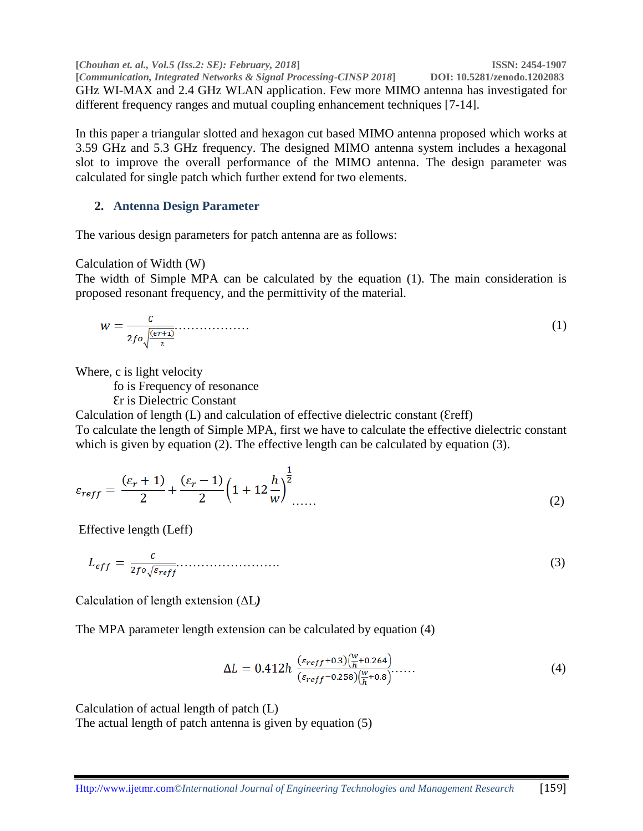**[***Chouhan et. al., Vol.5 (Iss.2: SE): February, 2018***] ISSN: 2454-1907 [***Communication, Integrated Networks & Signal Processing-CINSP 2018***] DOI: 10.5281/zenodo.1202083** GHz WI-MAX and 2.4 GHz WLAN application. Few more MIMO antenna has investigated for different frequency ranges and mutual coupling enhancement techniques [7-14].

In this paper a triangular slotted and hexagon cut based MIMO antenna proposed which works at 3.59 GHz and 5.3 GHz frequency. The designed MIMO antenna system includes a hexagonal slot to improve the overall performance of the MIMO antenna. The design parameter was calculated for single patch which further extend for two elements.

# **2. Antenna Design Parameter**

The various design parameters for patch antenna are as follows:

# Calculation of Width (W)

The width of Simple MPA can be calculated by the equation (1). The main consideration is proposed resonant frequency, and the permittivity of the material.

$$
w = \frac{c}{2f\circ\sqrt{\frac{(\epsilon r + 1)}{2}}}.\tag{1}
$$

Where, c is light velocity

fo is Frequency of resonance

Ɛr is Dielectric Constant

Calculation of length  $(L)$  and calculation of effective dielectric constant (Ereff)

To calculate the length of Simple MPA, first we have to calculate the effective dielectric constant which is given by equation (2). The effective length can be calculated by equation (3).

$$
\varepsilon_{reff} = \frac{(\varepsilon_r + 1)}{2} + \frac{(\varepsilon_r - 1)}{2} \left( 1 + 12 \frac{h}{w} \right)^{\frac{1}{2}} \dots \tag{2}
$$

Effective length (Leff)

$$
L_{eff} = \frac{c}{2f \circ \sqrt{\varepsilon_{reff}}} \tag{3}
$$

Calculation of length extension (ΔL*)*

The MPA parameter length extension can be calculated by equation (4)

$$
\Delta L = 0.412h \frac{(\varepsilon_{reff} + 0.3) \left(\frac{w}{h} + 0.264\right)}{(\varepsilon_{reff} - 0.258) \left(\frac{w}{h} + 0.8\right)} \dots \dots \tag{4}
$$

Calculation of actual length of patch (L) The actual length of patch antenna is given by equation (5)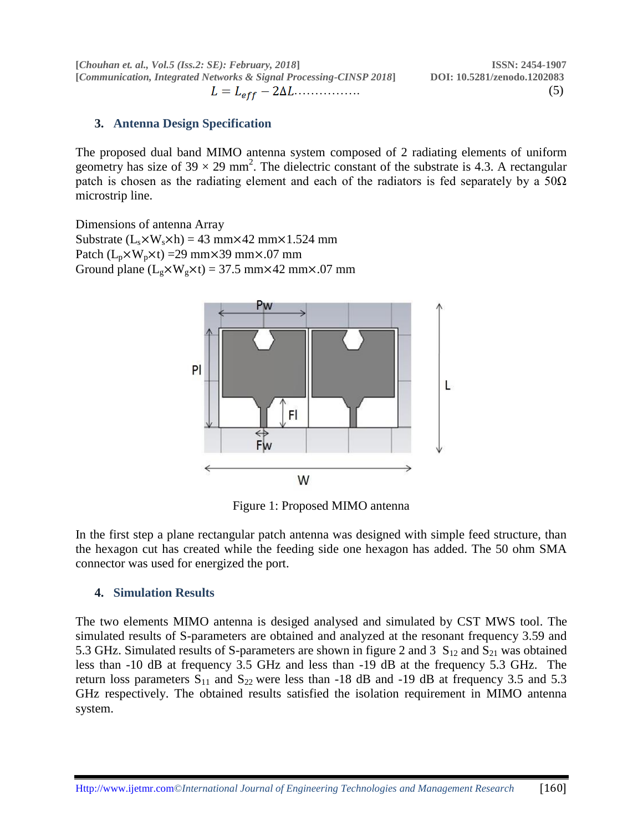**[***Chouhan et. al., Vol.5 (Iss.2: SE): February, 2018***] ISSN: 2454-1907 [***Communication, Integrated Networks & Signal Processing-CINSP 2018***] DOI: 10.5281/zenodo.1202083** ……………. (5)

## **3. Antenna Design Specification**

The proposed dual band MIMO antenna system composed of 2 radiating elements of uniform geometry has size of  $39 \times 29$  mm<sup>2</sup>. The dielectric constant of the substrate is 4.3. A rectangular patch is chosen as the radiating element and each of the radiators is fed separately by a  $50\Omega$ microstrip line.

Dimensions of antenna Array Substrate  $(L_s \times W_s \times h) = 43$  mm $\times 42$  mm $\times 1.524$  mm Patch  $(L_p \times W_p \times t) = 29$  mm $\times 39$  mm $\times 07$  mm Ground plane  $(L_g \times W_g \times t) = 37.5$  mm $\times$ 42 mm $\times$ .07 mm



Figure 1: Proposed MIMO antenna

In the first step a plane rectangular patch antenna was designed with simple feed structure, than the hexagon cut has created while the feeding side one hexagon has added. The 50 ohm SMA connector was used for energized the port.

#### **4. Simulation Results**

The two elements MIMO antenna is desiged analysed and simulated by CST MWS tool. The simulated results of S-parameters are obtained and analyzed at the resonant frequency 3.59 and 5.3 GHz. Simulated results of S-parameters are shown in figure 2 and 3  $S_{12}$  and  $S_{21}$  was obtained less than -10 dB at frequency 3.5 GHz and less than -19 dB at the frequency 5.3 GHz. The return loss parameters  $S_{11}$  and  $S_{22}$  were less than -18 dB and -19 dB at frequency 3.5 and 5.3 GHz respectively. The obtained results satisfied the isolation requirement in MIMO antenna system.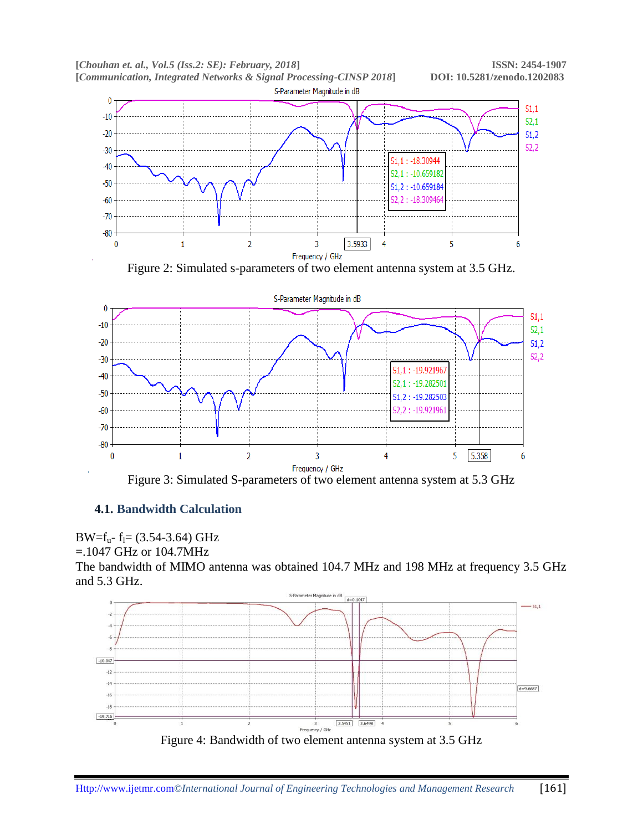

Figure 2: Simulated s-parameters of two element antenna system at 3.5 GHz.



# **4.1. Bandwidth Calculation**



```
=.1047 GHz or 104.7MHz
```
The bandwidth of MIMO antenna was obtained 104.7 MHz and 198 MHz at frequency 3.5 GHz and 5.3 GHz.

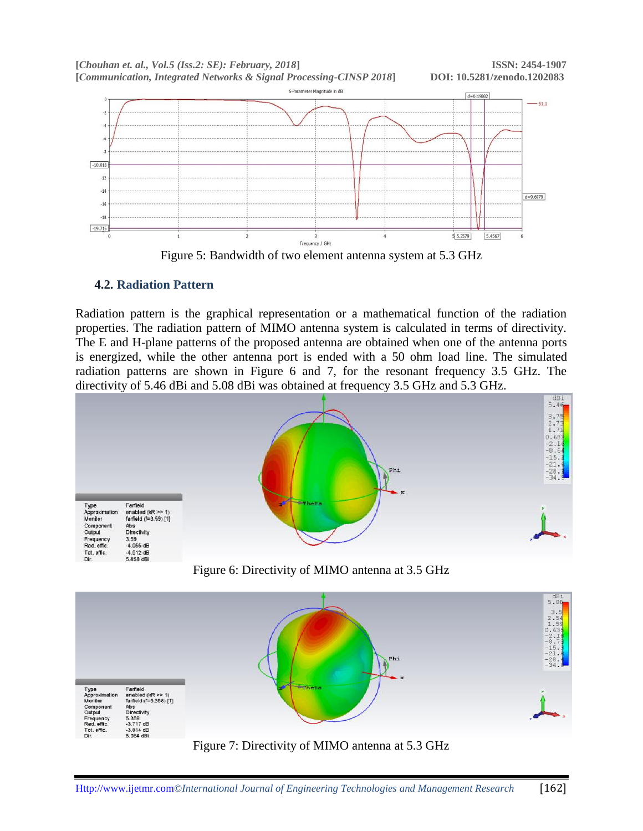

Figure 5: Bandwidth of two element antenna system at 5.3 GHz

# **4.2. Radiation Pattern**

Radiation pattern is the graphical representation or a mathematical function of the radiation properties. The radiation pattern of MIMO antenna system is calculated in terms of directivity. The E and H-plane patterns of the proposed antenna are obtained when one of the antenna ports is energized, while the other antenna port is ended with a 50 ohm load line. The simulated radiation patterns are shown in Figure 6 and 7, for the resonant frequency 3.5 GHz. The directivity of 5.46 dBi and 5.08 dBi was obtained at frequency 3.5 GHz and 5.3 GHz.



Figure 6: Directivity of MIMO antenna at 3.5 GHz



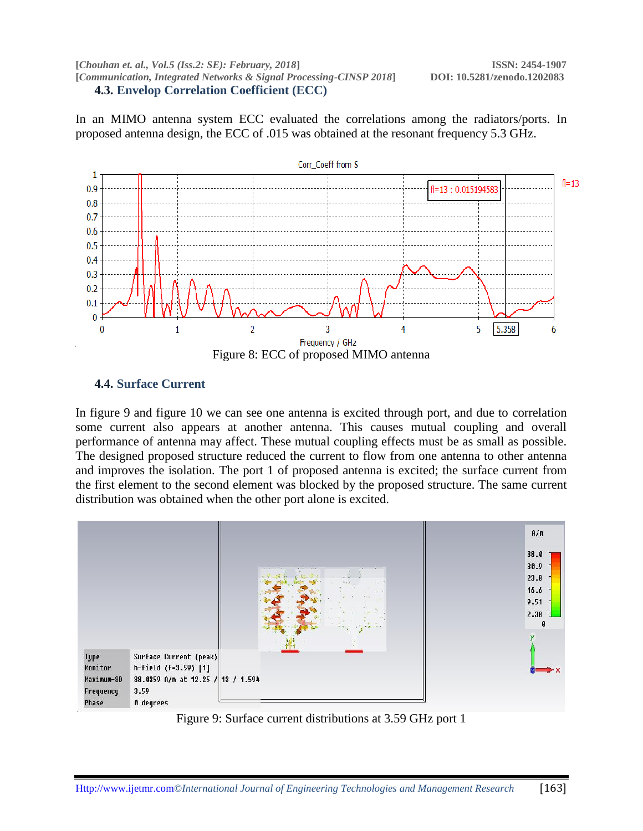**[***Chouhan et. al., Vol.5 (Iss.2: SE): February, 2018***] ISSN: 2454-1907 [***Communication, Integrated Networks & Signal Processing-CINSP 2018***] DOI: 10.5281/zenodo.1202083 4.3. Envelop Correlation Coefficient (ECC)**

In an MIMO antenna system ECC evaluated the correlations among the radiators/ports. In proposed antenna design, the ECC of .015 was obtained at the resonant frequency 5.3 GHz.



#### **4.4. Surface Current**

In figure 9 and figure 10 we can see one antenna is excited through port, and due to correlation some current also appears at another antenna. This causes mutual coupling and overall performance of antenna may affect. These mutual coupling effects must be as small as possible. The designed proposed structure reduced the current to flow from one antenna to other antenna and improves the isolation. The port 1 of proposed antenna is excited; the surface current from the first element to the second element was blocked by the proposed structure. The same current distribution was obtained when the other port alone is excited.



Figure 9: Surface current distributions at 3.59 GHz port 1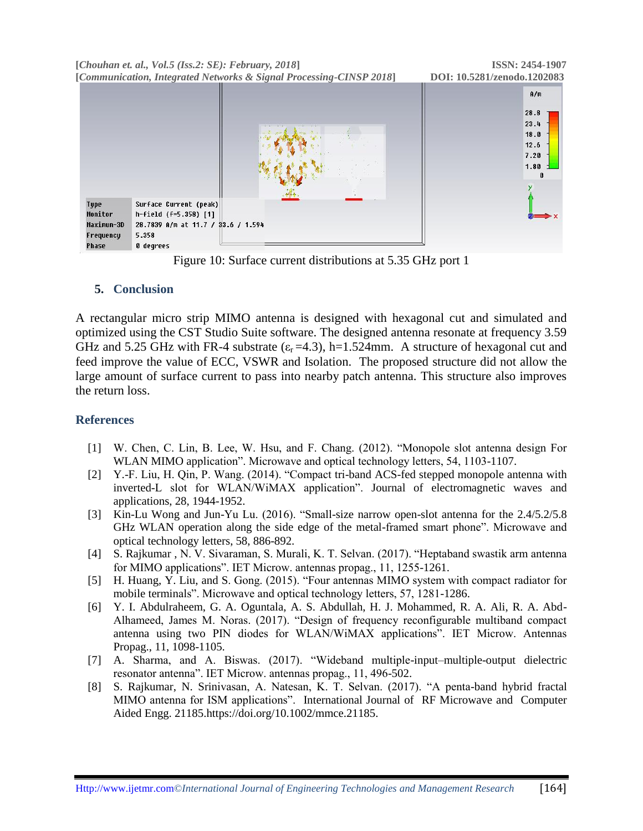**[***Chouhan et. al., Vol.5 (Iss.2: SE): February, 2018***] ISSN: 2454-1907 [***Communication, Integrated Networks & Signal Processing-CINSP 2018***] DOI: 10.5281/zenodo.1202083**



Figure 10: Surface current distributions at 5.35 GHz port 1

## **5. Conclusion**

A rectangular micro strip MIMO antenna is designed with hexagonal cut and simulated and optimized using the CST Studio Suite software. The designed antenna resonate at frequency 3.59 GHz and 5.25 GHz with FR-4 substrate  $(\epsilon_r = 4.3)$ , h=1.524mm. A structure of hexagonal cut and feed improve the value of ECC, VSWR and Isolation. The proposed structure did not allow the large amount of surface current to pass into nearby patch antenna. This structure also improves the return loss.

#### **References**

- [1] W. Chen, C. Lin, B. Lee, W. Hsu, and F. Chang. (2012). "Monopole slot antenna design For WLAN MIMO application". Microwave and optical technology letters, 54, 1103-1107.
- [2] Y.-F. Liu, H. Qin, P. Wang. (2014). "Compact tri-band ACS-fed stepped monopole antenna with inverted-L slot for WLAN/WiMAX application". Journal of electromagnetic waves and applications, 28, 1944-1952.
- [3] Kin-Lu Wong and Jun-Yu Lu. (2016). "Small-size narrow open-slot antenna for the 2.4/5.2/5.8 GHz WLAN operation along the side edge of the metal-framed smart phone". Microwave and optical technology letters, 58, 886-892.
- [4] S. Rajkumar , N. V. Sivaraman, S. Murali, K. T. Selvan. (2017). "Heptaband swastik arm antenna for MIMO applications". IET Microw. antennas propag., 11, 1255-1261.
- [5] H. Huang, Y. Liu, and S. Gong. (2015). "Four antennas MIMO system with compact radiator for mobile terminals". Microwave and optical technology letters, 57, 1281-1286.
- [6] Y. I. Abdulraheem, G. A. Oguntala, A. S. Abdullah, H. J. Mohammed, R. A. Ali, R. A. Abd-Alhameed, James M. Noras. (2017). "Design of frequency reconfigurable multiband compact antenna using two PIN diodes for WLAN/WiMAX applications". IET Microw. Antennas Propag., 11, 1098-1105.
- [7] A. Sharma, and A. Biswas. (2017). "Wideband multiple-input–multiple-output dielectric resonator antenna". IET Microw. antennas propag., 11, 496-502.
- [8] S. Rajkumar, N. Srinivasan, A. Natesan, K. T. Selvan. (2017). "A penta-band hybrid fractal MIMO antenna for ISM applications". International Journal of RF Microwave and Computer Aided Engg. 21185.https://doi.org/10.1002/mmce.21185.